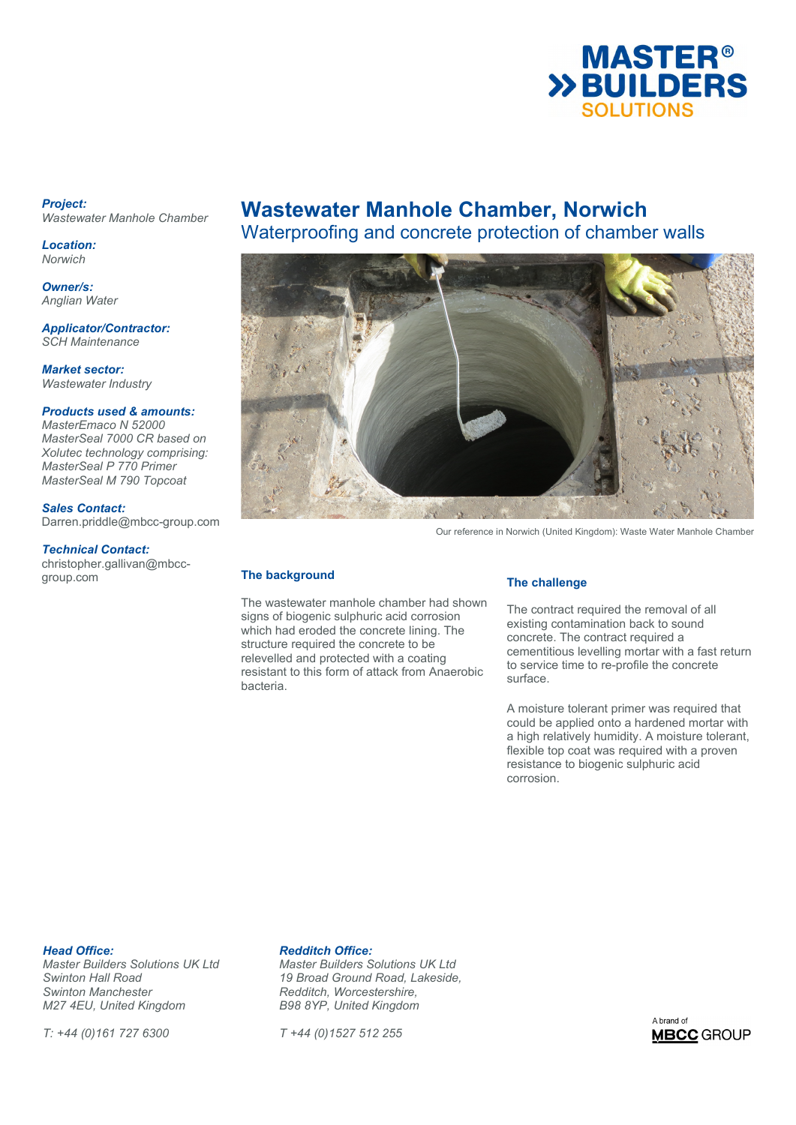

## *Project: Wastewater Manhole Chamber*

*Location: Norwich* 

*Owner/s: Anglian Water*

*Applicator/Contractor: SCH Maintenance* 

*Market sector: Wastewater Industry* 

*Products used & amounts:* 

*MasterEmaco N 52000 MasterSeal 7000 CR based on Xolutec technology comprising: MasterSeal P 770 Primer MasterSeal M 790 Topcoat* 

*Sales Contact:*  Darren.priddle@mbcc-group.com

## *Technical Contact:*

christopher.gallivan@mbccgroup.com

# **Wastewater Manhole Chamber, Norwich**

Waterproofing and concrete protection of chamber walls



Our reference in Norwich (United Kingdom): Waste Water Manhole Chamber

## **The background**

The wastewater manhole chamber had shown signs of biogenic sulphuric acid corrosion which had eroded the concrete lining. The structure required the concrete to be relevelled and protected with a coating resistant to this form of attack from Anaerobic bacteria.

## **The challenge**

The contract required the removal of all existing contamination back to sound concrete. The contract required a cementitious levelling mortar with a fast return to service time to re-profile the concrete surface.

A moisture tolerant primer was required that could be applied onto a hardened mortar with a high relatively humidity. A moisture tolerant, flexible top coat was required with a proven resistance to biogenic sulphuric acid corrosion.

**Head Office: Redditch Office:**<br> *Master Builders Solutions UK Ltd* Master Builders S *Swinton Manchester Redditch, Worcestershire, M27 4EU, United Kingdom* 

*T: +44 (0)161 727 6300 T +44 (0)1527 512 255* 

*Master Builders Solutions UK Ltd Master Builders Solutions UK Ltd Swinton Hall Road 19 Broad Ground Road, Lakeside,*